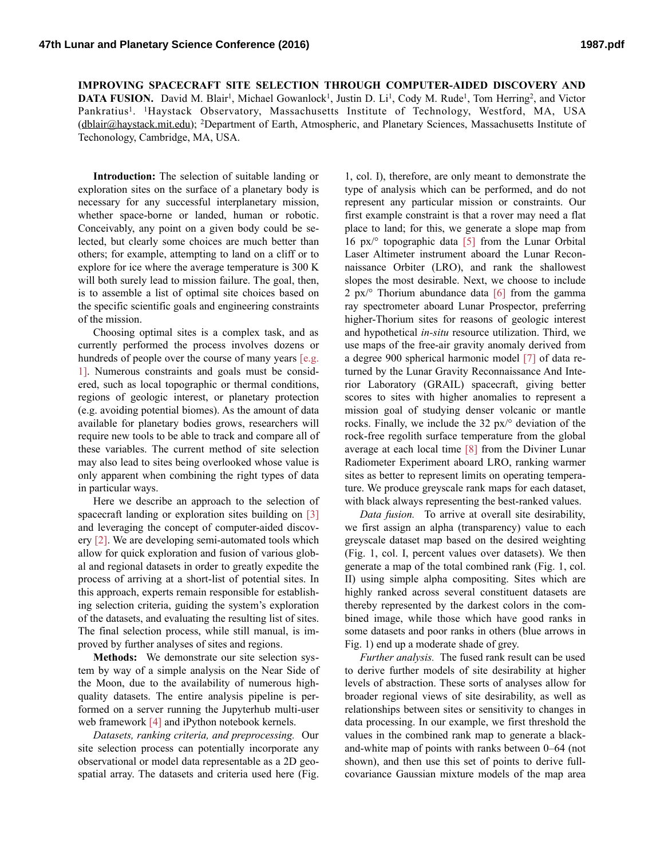**IMPROVING SPACECRAFT SITE SELECTION THROUGH COMPUTER-AIDED DISCOVERY AND DATA FUSION.** David M. Blair<sup>1</sup>, Michael Gowanlock<sup>1</sup>, Justin D. Li<sup>1</sup>, Cody M. Rude<sup>1</sup>, Tom Herring<sup>2</sup>, and Victor Pankratius<sup>1</sup>. <sup>1</sup>Haystack Observatory, Massachusetts Institute of Technology, Westford, MA, USA [\(dblair@haystack.mit.edu\)](mailto:dblair@haystack.mit.edu); 2Department of Earth, Atmospheric, and Planetary Sciences, Massachusetts Institute of Techonology, Cambridge, MA, USA.

**Introduction:** The selection of suitable landing or exploration sites on the surface of a planetary body is necessary for any successful interplanetary mission, whether space-borne or landed, human or robotic. Conceivably, any point on a given body could be selected, but clearly some choices are much better than others; for example, attempting to land on a cliff or to explore for ice where the average temperature is 300 K will both surely lead to mission failure. The goal, then, is to assemble a list of optimal site choices based on the specific scientific goals and engineering constraints of the mission.

Choosing optimal sites is a complex task, and as currently performed the process involves dozens or hundreds of people over the course of many years [e.g.] 1]. Numerous constraints and goals must be considered, such as local topographic or thermal conditions, regions of geologic interest, or planetary protection (e.g. avoiding potential biomes). As the amount of data available for planetary bodies grows, researchers will require new tools to be able to track and compare all of these variables. The current method of site selection may also lead to sites being overlooked whose value is only apparent when combining the right types of data in particular ways.

Here we describe an approach to the selection of spacecraft landing or exploration sites building on [3] and leveraging the concept of computer-aided discovery [2]. We are developing semi-automated tools which allow for quick exploration and fusion of various global and regional datasets in order to greatly expedite the process of arriving at a short-list of potential sites. In this approach, experts remain responsible for establishing selection criteria, guiding the system's exploration of the datasets, and evaluating the resulting list of sites. The final selection process, while still manual, is improved by further analyses of sites and regions.

**Methods:** We demonstrate our site selection system by way of a simple analysis on the Near Side of the Moon, due to the availability of numerous highquality datasets. The entire analysis pipeline is performed on a server running the Jupyterhub multi-user web framework [4] and iPython notebook kernels.

*Datasets, ranking criteria, and preprocessing.* Our site selection process can potentially incorporate any observational or model data representable as a 2D geospatial array. The datasets and criteria used here (Fig.

1, col. I), therefore, are only meant to demonstrate the type of analysis which can be performed, and do not represent any particular mission or constraints. Our first example constraint is that a rover may need a flat place to land; for this, we generate a slope map from 16 px/° topographic data [5] from the Lunar Orbital Laser Altimeter instrument aboard the Lunar Reconnaissance Orbiter (LRO), and rank the shallowest slopes the most desirable. Next, we choose to include 2 px/ $\degree$  Thorium abundance data [6] from the gamma ray spectrometer aboard Lunar Prospector, preferring higher-Thorium sites for reasons of geologic interest and hypothetical *in-situ* resource utilization. Third, we use maps of the free-air gravity anomaly derived from a degree 900 spherical harmonic model [7] of data returned by the Lunar Gravity Reconnaissance And Interior Laboratory (GRAIL) spacecraft, giving better scores to sites with higher anomalies to represent a mission goal of studying denser volcanic or mantle rocks. Finally, we include the 32 px/° deviation of the rock-free regolith surface temperature from the global average at each local time [8] from the Diviner Lunar Radiometer Experiment aboard LRO, ranking warmer sites as better to represent limits on operating temperature. We produce greyscale rank maps for each dataset, with black always representing the best-ranked values.

*Data fusion.* To arrive at overall site desirability, we first assign an alpha (transparency) value to each greyscale dataset map based on the desired weighting (Fig. 1, col. I, percent values over datasets). We then generate a map of the total combined rank (Fig. 1, col. II) using simple alpha compositing. Sites which are highly ranked across several constituent datasets are thereby represented by the darkest colors in the combined image, while those which have good ranks in some datasets and poor ranks in others (blue arrows in Fig. 1) end up a moderate shade of grey.

*Further analysis.* The fused rank result can be used to derive further models of site desirability at higher levels of abstraction. These sorts of analyses allow for broader regional views of site desirability, as well as relationships between sites or sensitivity to changes in data processing. In our example, we first threshold the values in the combined rank map to generate a blackand-white map of points with ranks between 0–64 (not shown), and then use this set of points to derive fullcovariance Gaussian mixture models of the map area